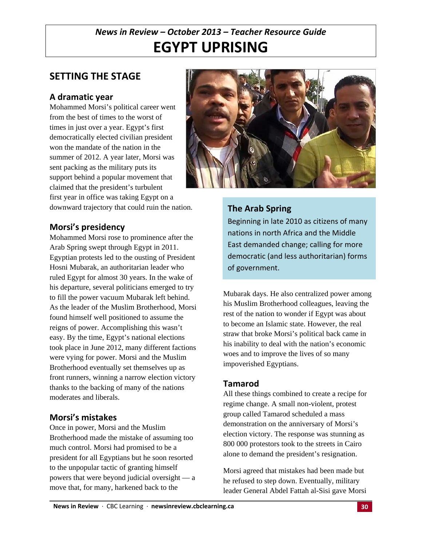# *News in Review – October 2013 – Teacher Resource Guide* **EGYPT UPRISING**

## **SETTING THE STAGE**

## **A dramatic year**

Mohammed Morsi's political career went from the best of times to the worst of times in just over a year. Egypt's first democratically elected civilian president won the mandate of the nation in the summer of 2012. A year later, Morsi was sent packing as the military puts its support behind a popular movement that claimed that the president's turbulent first year in office was taking Egypt on a downward trajectory that could ruin the nation.



### **Morsi's presidency**

Mohammed Morsi rose to prominence after the Arab Spring swept through Egypt in 2011. Egyptian protests led to the ousting of President Hosni Mubarak, an authoritarian leader who ruled Egypt for almost 30 years. In the wake of his departure, several politicians emerged to try to fill the power vacuum Mubarak left behind. As the leader of the Muslim Brotherhood, Morsi found himself well positioned to assume the reigns of power. Accomplishing this wasn't easy. By the time, Egypt's national elections took place in June 2012, many different factions were vying for power. Morsi and the Muslim Brotherhood eventually set themselves up as front runners, winning a narrow election victory thanks to the backing of many of the nations moderates and liberals.

### **Morsi's mistakes**

Once in power, Morsi and the Muslim Brotherhood made the mistake of assuming too much control. Morsi had promised to be a president for all Egyptians but he soon resorted to the unpopular tactic of granting himself powers that were beyond judicial oversight — a move that, for many, harkened back to the

## **The Arab Spring**

Beginning in late 2010 as citizens of many nations in north Africa and the Middle East demanded change; calling for more democratic (and less authoritarian) forms of government.

Mubarak days. He also centralized power among his Muslim Brotherhood colleagues, leaving the rest of the nation to wonder if Egypt was about to become an Islamic state. However, the real straw that broke Morsi's political back came in his inability to deal with the nation's economic woes and to improve the lives of so many impoverished Egyptians.

### **Tamarod**

All these things combined to create a recipe for regime change. A small non-violent, protest group called Tamarod scheduled a mass demonstration on the anniversary of Morsi's election victory. The response was stunning as 800 000 protestors took to the streets in Cairo alone to demand the president's resignation.

Morsi agreed that mistakes had been made but he refused to step down. Eventually, military leader General Abdel Fattah al-Sisi gave Morsi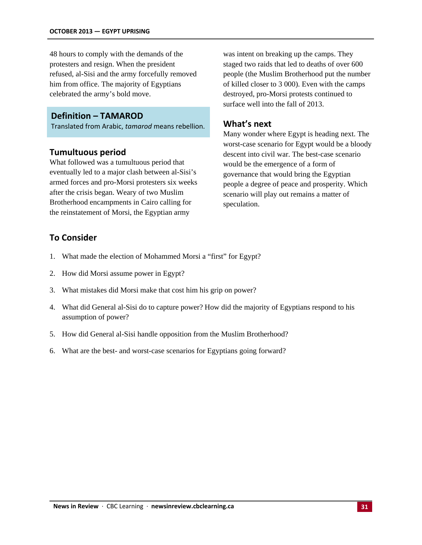48 hours to comply with the demands of the protesters and resign. When the president refused, al-Sisi and the army forcefully removed him from office. The majority of Egyptians celebrated the army's bold move.

### **Definition – TAMAROD**

Translated from Arabic, *tamarod* means rebellion.

### **Tumultuous period**

What followed was a tumultuous period that eventually led to a major clash between al-Sisi's armed forces and pro-Morsi protesters six weeks after the crisis began. Weary of two Muslim Brotherhood encampments in Cairo calling for the reinstatement of Morsi, the Egyptian army

was intent on breaking up the camps. They staged two raids that led to deaths of over 600 people (the Muslim Brotherhood put the number of killed closer to 3 000). Even with the camps destroyed, pro-Morsi protests continued to surface well into the fall of 2013.

### **What's next**

Many wonder where Egypt is heading next. The worst-case scenario for Egypt would be a bloody descent into civil war. The best-case scenario would be the emergence of a form of governance that would bring the Egyptian people a degree of peace and prosperity. Which scenario will play out remains a matter of speculation.

### **To Consider**

- 1. What made the election of Mohammed Morsi a "first" for Egypt?
- 2. How did Morsi assume power in Egypt?
- 3. What mistakes did Morsi make that cost him his grip on power?
- 4. What did General al-Sisi do to capture power? How did the majority of Egyptians respond to his assumption of power?
- 5. How did General al-Sisi handle opposition from the Muslim Brotherhood?
- 6. What are the best- and worst-case scenarios for Egyptians going forward?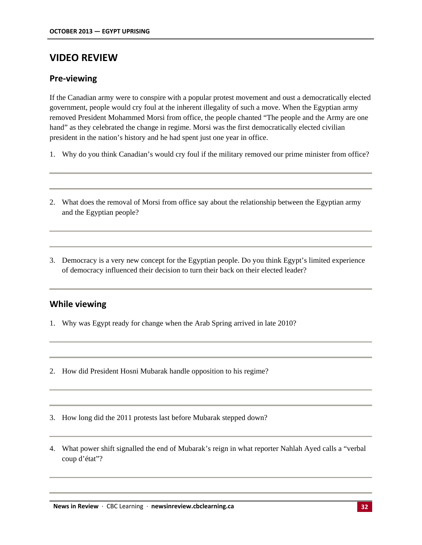## **VIDEO REVIEW**

### **Pre‐viewing**

If the Canadian army were to conspire with a popular protest movement and oust a democratically elected government, people would cry foul at the inherent illegality of such a move. When the Egyptian army removed President Mohammed Morsi from office, the people chanted "The people and the Army are one hand" as they celebrated the change in regime. Morsi was the first democratically elected civilian president in the nation's history and he had spent just one year in office.

- 1. Why do you think Canadian's would cry foul if the military removed our prime minister from office?
- 2. What does the removal of Morsi from office say about the relationship between the Egyptian army and the Egyptian people?
- 3. Democracy is a very new concept for the Egyptian people. Do you think Egypt's limited experience of democracy influenced their decision to turn their back on their elected leader?

### **While viewing**

- 1. Why was Egypt ready for change when the Arab Spring arrived in late 2010?
- 2. How did President Hosni Mubarak handle opposition to his regime?
- 3. How long did the 2011 protests last before Mubarak stepped down?
- 4. What power shift signalled the end of Mubarak's reign in what reporter Nahlah Ayed calls a "verbal coup d'état"?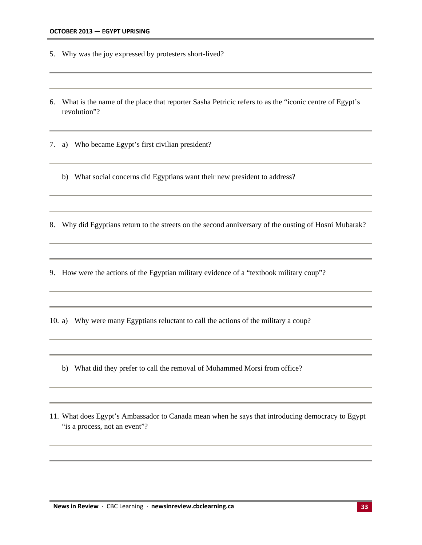- 5. Why was the joy expressed by protesters short-lived?
- 6. What is the name of the place that reporter Sasha Petricic refers to as the "iconic centre of Egypt's revolution"?

7. a) Who became Egypt's first civilian president?

b) What social concerns did Egyptians want their new president to address?

8. Why did Egyptians return to the streets on the second anniversary of the ousting of Hosni Mubarak?

9. How were the actions of the Egyptian military evidence of a "textbook military coup"?

10. a) Why were many Egyptians reluctant to call the actions of the military a coup?

- b) What did they prefer to call the removal of Mohammed Morsi from office?
- 11. What does Egypt's Ambassador to Canada mean when he says that introducing democracy to Egypt "is a process, not an event"?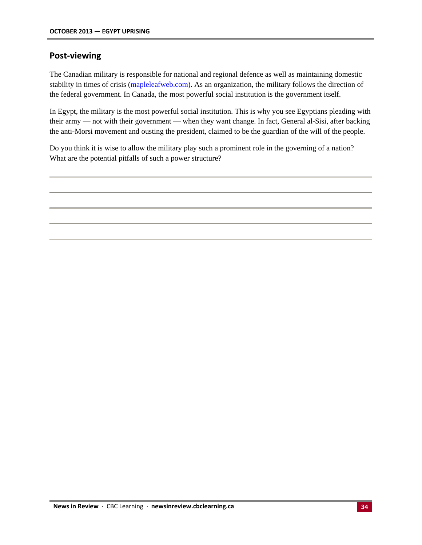### **Post‐viewing**

The Canadian military is responsible for national and regional defence as well as maintaining domestic stability in times of crisis (mapleleafweb.com). As an organization, the military follows the direction of the federal government. In Canada, the most powerful social institution is the government itself.

In Egypt, the military is the most powerful social institution. This is why you see Egyptians pleading with their army — not with their government — when they want change. In fact, General al-Sisi, after backing the anti-Morsi movement and ousting the president, claimed to be the guardian of the will of the people.

Do you think it is wise to allow the military play such a prominent role in the governing of a nation? What are the potential pitfalls of such a power structure?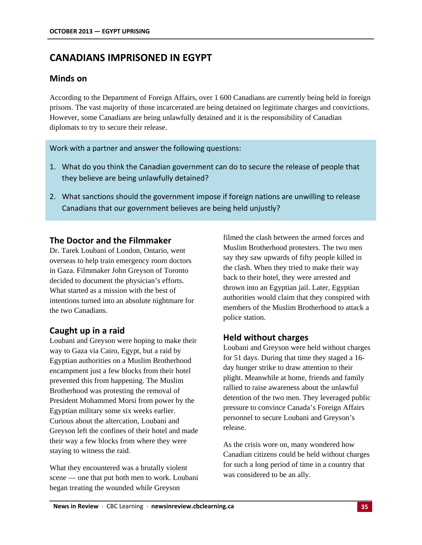## **CANADIANS IMPRISONED IN EGYPT**

### **Minds on**

According to the Department of Foreign Affairs, over 1 600 Canadians are currently being held in foreign prisons. The vast majority of those incarcerated are being detained on legitimate charges and convictions. However, some Canadians are being unlawfully detained and it is the responsibility of Canadian diplomats to try to secure their release.

Work with a partner and answer the following questions:

- 1. What do you think the Canadian government can do to secure the release of people that they believe are being unlawfully detained?
- 2. What sanctions should the government impose if foreign nations are unwilling to release Canadians that our government believes are being held unjustly?

### **The Doctor and the Filmmaker**

Dr. Tarek Loubani of London, Ontario, went overseas to help train emergency room doctors in Gaza. Filmmaker John Greyson of Toronto decided to document the physician's efforts. What started as a mission with the best of intentions turned into an absolute nightmare for the two Canadians.

## **Caught up in a raid**

Loubani and Greyson were hoping to make their way to Gaza via Cairo, Egypt, but a raid by Egyptian authorities on a Muslim Brotherhood encampment just a few blocks from their hotel prevented this from happening. The Muslim Brotherhood was protesting the removal of President Mohammed Morsi from power by the Egyptian military some six weeks earlier. Curious about the altercation, Loubani and Greyson left the confines of their hotel and made their way a few blocks from where they were staying to witness the raid.

What they encountered was a brutally violent scene — one that put both men to work. Loubani began treating the wounded while Greyson

filmed the clash between the armed forces and Muslim Brotherhood protesters. The two men say they saw upwards of fifty people killed in the clash. When they tried to make their way back to their hotel, they were arrested and thrown into an Egyptian jail. Later, Egyptian authorities would claim that they conspired with members of the Muslim Brotherhood to attack a police station.

## **Held without charges**

Loubani and Greyson were held without charges for 51 days. During that time they staged a 16 day hunger strike to draw attention to their plight. Meanwhile at home, friends and family rallied to raise awareness about the unlawful detention of the two men. They leveraged public pressure to convince Canada's Foreign Affairs personnel to secure Loubani and Greyson's release.

As the crisis wore on, many wondered how Canadian citizens could be held without charges for such a long period of time in a country that was considered to be an ally.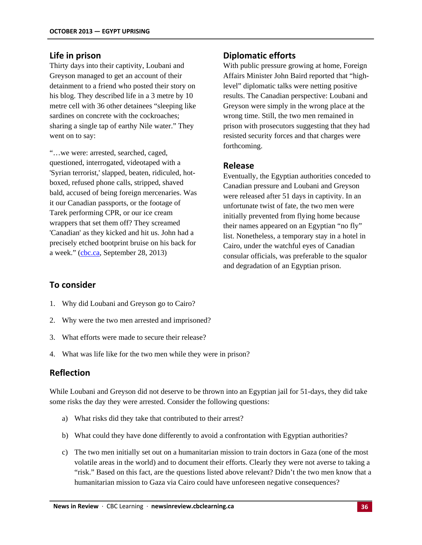#### **Life in prison**

Thirty days into their captivity, Loubani and Greyson managed to get an account of their detainment to a friend who posted their story on his blog. They described life in a 3 metre by 10 metre cell with 36 other detainees "sleeping like sardines on concrete with the cockroaches: sharing a single tap of earthy Nile water." They went on to say:

"…we were: arrested, searched, caged, questioned, interrogated, videotaped with a 'Syrian terrorist,' slapped, beaten, ridiculed, hotboxed, refused phone calls, stripped, shaved bald, accused of being foreign mercenaries. Was it our Canadian passports, or the footage of Tarek performing CPR, or our ice cream wrappers that set them off? They screamed 'Canadian' as they kicked and hit us. John had a precisely etched bootprint bruise on his back for a week." (cbc.ca, September 28, 2013)

#### **Diplomatic efforts**

With public pressure growing at home, Foreign Affairs Minister John Baird reported that "highlevel" diplomatic talks were netting positive results. The Canadian perspective: Loubani and Greyson were simply in the wrong place at the wrong time. Still, the two men remained in prison with prosecutors suggesting that they had resisted security forces and that charges were forthcoming.

#### **Release**

Eventually, the Egyptian authorities conceded to Canadian pressure and Loubani and Greyson were released after 51 days in captivity. In an unfortunate twist of fate, the two men were initially prevented from flying home because their names appeared on an Egyptian "no fly" list. Nonetheless, a temporary stay in a hotel in Cairo, under the watchful eyes of Canadian consular officials, was preferable to the squalor and degradation of an Egyptian prison.

### **To consider**

- 1. Why did Loubani and Greyson go to Cairo?
- 2. Why were the two men arrested and imprisoned?
- 3. What efforts were made to secure their release?
- 4. What was life like for the two men while they were in prison?

### **Reflection**

While Loubani and Greyson did not deserve to be thrown into an Egyptian jail for 51-days, they did take some risks the day they were arrested. Consider the following questions:

- a) What risks did they take that contributed to their arrest?
- b) What could they have done differently to avoid a confrontation with Egyptian authorities?
- c) The two men initially set out on a humanitarian mission to train doctors in Gaza (one of the most volatile areas in the world) and to document their efforts. Clearly they were not averse to taking a "risk." Based on this fact, are the questions listed above relevant? Didn't the two men know that a humanitarian mission to Gaza via Cairo could have unforeseen negative consequences?